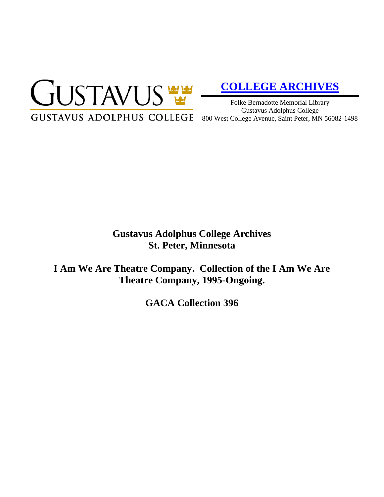

# **[COLLEGE ARCHIVES](http://gustavus.edu/academics/library/archives/)**

Folke Bernadotte Memorial Library Gustavus Adolphus College 800 West College Avenue, Saint Peter, MN 56082-1498

# **Gustavus Adolphus College Archives St. Peter, Minnesota**

**I Am We Are Theatre Company. Collection of the I Am We Are Theatre Company, 1995-Ongoing.**

**GACA Collection 396**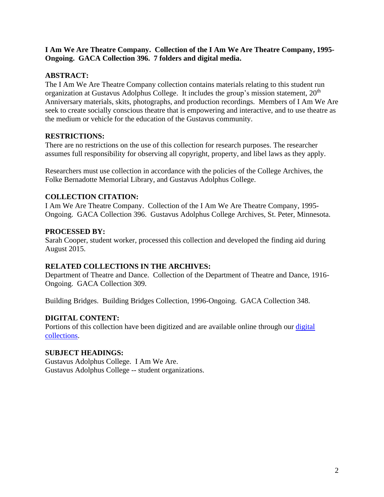#### **I Am We Are Theatre Company. Collection of the I Am We Are Theatre Company, 1995- Ongoing. GACA Collection 396. 7 folders and digital media.**

#### **ABSTRACT:**

The I Am We Are Theatre Company collection contains materials relating to this student run organization at Gustavus Adolphus College. It includes the group's mission statement, 20<sup>th</sup> Anniversary materials, skits, photographs, and production recordings. Members of I Am We Are seek to create socially conscious theatre that is empowering and interactive, and to use theatre as the medium or vehicle for the education of the Gustavus community.

#### **RESTRICTIONS:**

There are no restrictions on the use of this collection for research purposes. The researcher assumes full responsibility for observing all copyright, property, and libel laws as they apply.

Researchers must use collection in accordance with the policies of the College Archives, the Folke Bernadotte Memorial Library, and Gustavus Adolphus College.

## **COLLECTION CITATION:**

I Am We Are Theatre Company. Collection of the I Am We Are Theatre Company, 1995- Ongoing. GACA Collection 396. Gustavus Adolphus College Archives, St. Peter, Minnesota.

## **PROCESSED BY:**

Sarah Cooper, student worker, processed this collection and developed the finding aid during August 2015.

#### **RELATED COLLECTIONS IN THE ARCHIVES:**

Department of Theatre and Dance. Collection of the Department of Theatre and Dance, 1916- Ongoing. GACA Collection 309.

Building Bridges. Building Bridges Collection, 1996-Ongoing. GACA Collection 348.

# **DIGITAL CONTENT:**

Portions of this collection have been digitized and are available online through our digital [collections.](https://archives.gac.edu/digital/)

# **SUBJECT HEADINGS:**

Gustavus Adolphus College. I Am We Are. Gustavus Adolphus College -- student organizations.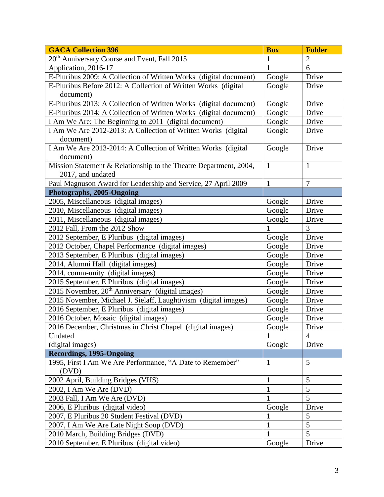| <b>GACA Collection 396</b>                                        | <b>Box</b>   | <b>Folder</b>  |
|-------------------------------------------------------------------|--------------|----------------|
| 20 <sup>th</sup> Anniversary Course and Event, Fall 2015          | 1            | $\overline{2}$ |
| Application, 2016-17                                              | 1            | 6              |
| E-Pluribus 2009: A Collection of Written Works (digital document) | Google       | Drive          |
| E-Pluribus Before 2012: A Collection of Written Works (digital    | Google       | Drive          |
| document)                                                         |              |                |
| E-Pluribus 2013: A Collection of Written Works (digital document) | Google       | Drive          |
| E-Pluribus 2014: A Collection of Written Works (digital document) | Google       | Drive          |
| I Am We Are: The Beginning to 2011 (digital document)             | Google       | Drive          |
| I Am We Are 2012-2013: A Collection of Written Works (digital     | Google       | Drive          |
| document)                                                         |              |                |
| I Am We Are 2013-2014: A Collection of Written Works (digital     | Google       | Drive          |
| document)                                                         |              |                |
| Mission Statement & Relationship to the Theatre Department, 2004, | $\mathbf{1}$ | $\mathbf{1}$   |
| 2017, and undated                                                 |              |                |
| Paul Magnuson Award for Leadership and Service, 27 April 2009     | $\mathbf{1}$ | $\overline{7}$ |
| Photographs, 2005-Ongoing                                         |              |                |
| 2005, Miscellaneous (digital images)                              | Google       | Drive          |
| 2010, Miscellaneous (digital images)                              | Google       | Drive          |
| 2011, Miscellaneous (digital images)                              | Google       | Drive          |
| 2012 Fall, From the 2012 Show                                     | $\mathbf{1}$ | $\overline{3}$ |
| 2012 September, E Pluribus (digital images)                       | Google       | Drive          |
| 2012 October, Chapel Performance (digital images)                 | Google       | Drive          |
| 2013 September, E Pluribus (digital images)                       | Google       | Drive          |
| 2014, Alumni Hall (digital images)                                | Google       | Drive          |
| 2014, comm-unity (digital images)                                 | Google       | Drive          |
| 2015 September, E Pluribus (digital images)                       | Google       | Drive          |
| 2015 November, 20 <sup>th</sup> Anniversary (digital images)      | Google       | Drive          |
| 2015 November, Michael J. Sielaff, Laughtivism (digital images)   | Google       | Drive          |
| 2016 September, E Pluribus (digital images)                       | Google       | Drive          |
| 2016 October, Mosaic (digital images)                             | Google       | Drive          |
| 2016 December, Christmas in Christ Chapel (digital images)        | Google       | Drive          |
| Undated                                                           | 1            | 4              |
| (digital images)                                                  | Google       | Drive          |
| <b>Recordings, 1995-Ongoing</b>                                   |              |                |
| 1995, First I Am We Are Performance, "A Date to Remember"         | $\mathbf{1}$ | 5              |
| (DVD)                                                             |              |                |
| 2002 April, Building Bridges (VHS)                                | $\mathbf{1}$ | 5              |
| 2002, I Am We Are (DVD)                                           | $\mathbf{1}$ | 5              |
| 2003 Fall, I Am We Are (DVD)                                      | $\mathbf{1}$ | 5              |
| 2006, E Pluribus (digital video)                                  | Google       | Drive          |
| 2007, E Pluribus 20 Student Festival (DVD)                        | $\mathbf{1}$ | 5              |
| 2007, I Am We Are Late Night Soup (DVD)                           | $\mathbf{1}$ | $\overline{5}$ |
| 2010 March, Building Bridges (DVD)                                | 1            | 5              |
| 2010 September, E Pluribus (digital video)                        | Google       | Drive          |